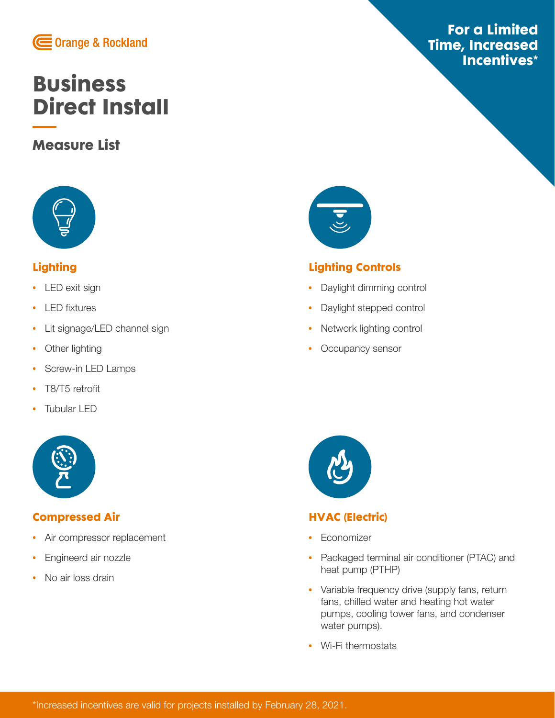

# **[Business](https://www.oru.com/directinstall) [Direct Install](https://www.oru.com/directinstall)**

## **Measure List**



## **Lighting**

- **•** LED exit sign
- **•** LED fixtures
- **•** Lit signage/LED channel sign
- **•** Other lighting
- **•** Screw-in LED Lamps
- **•** T8/T5 retrofit
- **•** Tubular LED



#### **Compressed Air**

- **•** Air compressor replacement
- **•** Engineerd air nozzle
- **•** No air loss drain



## **Lighting Controls**

- **•** Daylight dimming control
- **•** Daylight stepped control
- **•** Network lighting control
- **•** Occupancy sensor



## **HVAC (Electric)**

- **•** Economizer
- **•** Packaged terminal air conditioner (PTAC) and heat pump (PTHP)
- **•** Variable frequency drive (supply fans, return fans, chilled water and heating hot water pumps, cooling tower fans, and condenser water pumps).
- **•** Wi-Fi thermostats

## **For a Limited Time, Increased Incentives\***